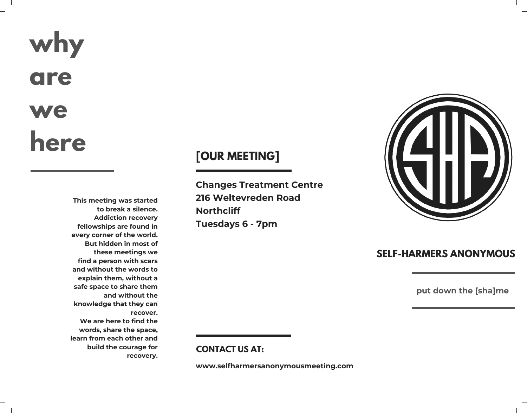# **why are we here**

**This meeting was started to break a silence. Addiction recovery fellowships are found in every corner of the world. But hidden in most of these meetings we find a person with scars and without the words to explain them, without a safe space to share them and without the knowledge that they can recover. We are here to find the words, share the space, learn from each other and build the courage for recovery.**

### **[OUR MEETING]**

**Changes Treatment Centre 216 Weltevreden Road Northcliff Tuesdays 6 - 7pm**



### **SELF-HARMERS ANONYMOUS**

**put down the [sha]me**

### **CONTACT US AT:**

**www.selfharmersanonymousmeeting.com**